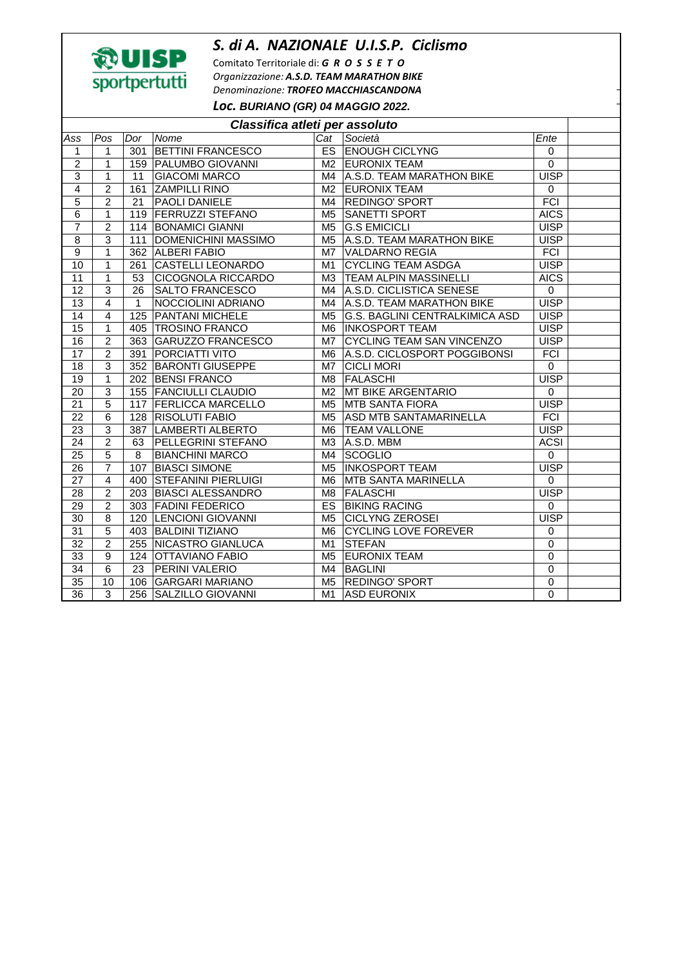## *S. di A. NAZIONALE U.I.S.P. Ciclismo*



Comitato Territoriale di: *G R O S S E T O Organizzazione: A.S.D. TEAM MARATHON BIKE Denominazione: TROFEO MACCHIASCANDONA Loc.* **BURIANO (GR) 04 MAGGIO 2022.** 

| Classifica atleti per assoluto |                 |                 |                            |                |                                       |             |  |  |  |
|--------------------------------|-----------------|-----------------|----------------------------|----------------|---------------------------------------|-------------|--|--|--|
| Ass                            | Pos             | Dor             | Nome                       | Cat            | Società                               | Ente        |  |  |  |
| 1                              | 1               | 301             | <b>BETTINI FRANCESCO</b>   |                | <b>ES ENOUGH CICLYNG</b>              | $\mathbf 0$ |  |  |  |
| $\overline{2}$                 | $\mathbf{1}$    |                 | 159   PALUMBO GIOVANNI     |                | M2 EURONIX TEAM                       | $\mathbf 0$ |  |  |  |
| 3                              | $\mathbf{1}$    | 11              | <b>GIACOMI MARCO</b>       | M4             | A.S.D. TEAM MARATHON BIKE             | <b>UISP</b> |  |  |  |
| $\overline{4}$                 | $\overline{2}$  | 161             | <b>ZAMPILLI RINO</b>       | M <sub>2</sub> | <b>EURONIX TEAM</b>                   | $\mathbf 0$ |  |  |  |
| 5                              | $\overline{2}$  | 21              | PAOLI DANIELE              | M4             | <b>REDINGO' SPORT</b>                 | <b>FCI</b>  |  |  |  |
| $\overline{6}$                 | $\overline{1}$  | 119             | <b>FERRUZZI STEFANO</b>    | M <sub>5</sub> | <b>SANETTI SPORT</b>                  | <b>AICS</b> |  |  |  |
| $\overline{7}$                 | $\overline{2}$  |                 | 114 BONAMICI GIANNI        | M <sub>5</sub> | <b>G.S EMICICLI</b>                   | <b>UISP</b> |  |  |  |
| $\overline{8}$                 | 3               |                 | 111 DOMENICHINI MASSIMO    | M <sub>5</sub> | A.S.D. TEAM MARATHON BIKE             | <b>UISP</b> |  |  |  |
| $\overline{9}$                 | $\mathbf{1}$    |                 | 362 ALBERI FABIO           | M <sub>7</sub> | <b>VALDARNO REGIA</b>                 | <b>FCI</b>  |  |  |  |
| 10                             | $\mathbf{1}$    |                 | 261 CASTELLI LEONARDO      | M1             | <b>CYCLING TEAM ASDGA</b>             | <b>UISP</b> |  |  |  |
| 11                             | $\mathbf{1}$    | 53              | <b>CICOGNOLA RICCARDO</b>  | M3             | <b>TEAM ALPIN MASSINELLI</b>          | <b>AICS</b> |  |  |  |
| $\overline{12}$                | $\overline{3}$  | 26              | <b>SALTO FRANCESCO</b>     | M4             | A.S.D. CICLISTICA SENESE              | $\Omega$    |  |  |  |
| $\overline{13}$                | 4               | $\mathbf{1}$    | NOCCIOLINI ADRIANO         | M4             | A.S.D. TEAM MARATHON BIKE             | <b>UISP</b> |  |  |  |
| 14                             | 4               | 125             | <b>PANTANI MICHELE</b>     | M <sub>5</sub> | <b>G.S. BAGLINI CENTRALKIMICA ASD</b> | <b>UISP</b> |  |  |  |
| 15                             | $\mathbf{1}$    |                 | 405 TROSINO FRANCO         | M6             | <b>INKOSPORT TEAM</b>                 | <b>UISP</b> |  |  |  |
| 16                             | $\overline{2}$  | 363             | GARUZZO FRANCESCO          | M7             | <b>CYCLING TEAM SAN VINCENZO</b>      | <b>UISP</b> |  |  |  |
| 17                             | $\overline{2}$  | 391             | <b>PORCIATTI VITO</b>      | M6             | A.S.D. CICLOSPORT POGGIBONSI          | <b>FCI</b>  |  |  |  |
| 18                             | 3               | 352             | <b>BARONTI GIUSEPPE</b>    | M7             | <b>CICLI MORI</b>                     | $\mathbf 0$ |  |  |  |
| 19                             | $\mathbf{1}$    | 202             | <b>BENSI FRANCO</b>        | M <sub>8</sub> | <b>FALASCHI</b>                       | <b>UISP</b> |  |  |  |
| 20                             | 3               | 155             | <b>FANCIULLI CLAUDIO</b>   | M <sub>2</sub> | MT BIKE ARGENTARIO                    | $\mathbf 0$ |  |  |  |
| $\overline{21}$                | $\overline{5}$  | 117             | <b>FERLICCA MARCELLO</b>   | M <sub>5</sub> | <b>MTB SANTA FIORA</b>                | <b>UISP</b> |  |  |  |
| 22                             | $6\phantom{1}6$ | 128             | <b>RISOLUTI FABIO</b>      | M <sub>5</sub> | <b>ASD MTB SANTAMARINELLA</b>         | <b>FCI</b>  |  |  |  |
| 23                             | $\overline{3}$  | 387             | <b>LAMBERTI ALBERTO</b>    | M <sub>6</sub> | <b>TEAM VALLONE</b>                   | <b>UISP</b> |  |  |  |
| 24                             | $\overline{2}$  | 63              | PELLEGRINI STEFANO         | M3             | A.S.D. MBM                            | <b>ACSI</b> |  |  |  |
| 25                             | 5               | 8               | <b>BIANCHINI MARCO</b>     | M4             | <b>SCOGLIO</b>                        | $\mathbf 0$ |  |  |  |
| 26                             | 7               | 107             | <b>BIASCI SIMONE</b>       | M <sub>5</sub> | <b>INKOSPORT TEAM</b>                 | <b>UISP</b> |  |  |  |
| 27                             | 4               | 400             | <b>STEFANINI PIERLUIGI</b> | M <sub>6</sub> | <b>MTB SANTA MARINELLA</b>            | $\Omega$    |  |  |  |
| 28                             | $\overline{2}$  | 203             | <b>BIASCI ALESSANDRO</b>   | M <sub>8</sub> | <b>FALASCHI</b>                       | <b>UISP</b> |  |  |  |
| 29                             | $\overline{2}$  | 303             | <b>FADINI FEDERICO</b>     | <b>ES</b>      | <b>BIKING RACING</b>                  | $\mathbf 0$ |  |  |  |
| 30                             | 8               | 120             | <b>LENCIONI GIOVANNI</b>   | M <sub>5</sub> | <b>CICLYNG ZEROSEI</b>                | <b>UISP</b> |  |  |  |
| 31                             | 5               | 403             | <b>BALDINI TIZIANO</b>     | M <sub>6</sub> | <b>CYCLING LOVE FOREVER</b>           | $\mathbf 0$ |  |  |  |
| 32                             | $\overline{2}$  | 255             | NICASTRO GIANLUCA          | M1             | <b>STEFAN</b>                         | $\Omega$    |  |  |  |
| 33                             | 9               | 124             | OTTAVIANO FABIO            | M <sub>5</sub> | <b>EURONIX TEAM</b>                   | $\mathbf 0$ |  |  |  |
| 34                             | $\overline{6}$  | $\overline{23}$ | PERINI VALERIO             | M4             | <b>BAGLINI</b>                        | $\mathbf 0$ |  |  |  |
| $\overline{35}$                | 10              | 106             | <b>GARGARI MARIANO</b>     | M <sub>5</sub> | <b>REDINGO' SPORT</b>                 | $\mathbf 0$ |  |  |  |
| 36                             | $\overline{3}$  | 256             | SALZILLO GIOVANNI          | M1             | <b>ASD EURONIX</b>                    | $\mathbf 0$ |  |  |  |